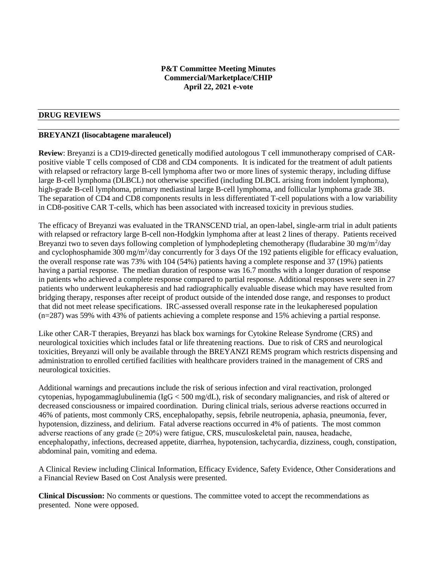### **P&T Committee Meeting Minutes Commercial/Marketplace/CHIP April 22, 2021 e-vote**

#### **DRUG REVIEWS**

#### **BREYANZI (lisocabtagene maraleucel)**

**Review**: Breyanzi is a CD19-directed genetically modified autologous T cell immunotherapy comprised of CARpositive viable T cells composed of CD8 and CD4 components. It is indicated for the treatment of adult patients with relapsed or refractory large B-cell lymphoma after two or more lines of systemic therapy, including diffuse large B-cell lymphoma (DLBCL) not otherwise specified (including DLBCL arising from indolent lymphoma), high-grade B-cell lymphoma, primary mediastinal large B-cell lymphoma, and follicular lymphoma grade 3B. The separation of CD4 and CD8 components results in less differentiated T-cell populations with a low variability in CD8-positive CAR T-cells, which has been associated with increased toxicity in previous studies.

The efficacy of Breyanzi was evaluated in the TRANSCEND trial, an open-label, single-arm trial in adult patients with relapsed or refractory large B-cell non-Hodgkin lymphoma after at least 2 lines of therapy. Patients received Breyanzi two to seven days following completion of lymphodepleting chemotherapy (fludarabine 30 mg/m<sup>2</sup>/day and cyclophosphamide 300 mg/m<sup>2</sup>/day concurrently for 3 days Of the 192 patients eligible for efficacy evaluation, the overall response rate was 73% with 104 (54%) patients having a complete response and 37 (19%) patients having a partial response. The median duration of response was 16.7 months with a longer duration of response in patients who achieved a complete response compared to partial response. Additional responses were seen in 27 patients who underwent leukapheresis and had radiographically evaluable disease which may have resulted from bridging therapy, responses after receipt of product outside of the intended dose range, and responses to product that did not meet release specifications. IRC-assessed overall response rate in the leukapheresed population (n=287) was 59% with 43% of patients achieving a complete response and 15% achieving a partial response.

Like other CAR-T therapies, Breyanzi has black box warnings for Cytokine Release Syndrome (CRS) and neurological toxicities which includes fatal or life threatening reactions. Due to risk of CRS and neurological toxicities, Breyanzi will only be available through the BREYANZI REMS program which restricts dispensing and administration to enrolled certified facilities with healthcare providers trained in the management of CRS and neurological toxicities.

Additional warnings and precautions include the risk of serious infection and viral reactivation, prolonged cytopenias, hypogammaglubulinemia (IgG < 500 mg/dL), risk of secondary malignancies, and risk of altered or decreased consciousness or impaired coordination. During clinical trials, serious adverse reactions occurred in 46% of patients, most commonly CRS, encephalopathy, sepsis, febrile neutropenia, aphasia, pneumonia, fever, hypotension, dizziness, and delirium. Fatal adverse reactions occurred in 4% of patients. The most common adverse reactions of any grade ( $\geq 20\%$ ) were fatigue, CRS, musculoskeletal pain, nausea, headache, encephalopathy, infections, decreased appetite, diarrhea, hypotension, tachycardia, dizziness, cough, constipation, abdominal pain, vomiting and edema.

A Clinical Review including Clinical Information, Efficacy Evidence, Safety Evidence, Other Considerations and a Financial Review Based on Cost Analysis were presented.

**Clinical Discussion:** No comments or questions. The committee voted to accept the recommendations as presented. None were opposed.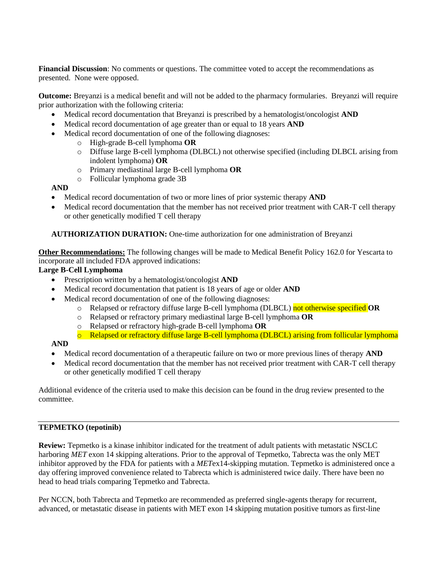**Financial Discussion**: No comments or questions. The committee voted to accept the recommendations as presented. None were opposed.

**Outcome:** Breyanzi is a medical benefit and will not be added to the pharmacy formularies. Breyanzi will require prior authorization with the following criteria:

- Medical record documentation that Breyanzi is prescribed by a hematologist/oncologist **AND**
- Medical record documentation of age greater than or equal to 18 years **AND**
- Medical record documentation of one of the following diagnoses:
	- o High-grade B-cell lymphoma **OR**
	- o Diffuse large B-cell lymphoma (DLBCL) not otherwise specified (including DLBCL arising from indolent lymphoma) **OR**
	- o Primary mediastinal large B-cell lymphoma **OR**
	- o Follicular lymphoma grade 3B

## **AND**

- Medical record documentation of two or more lines of prior systemic therapy **AND**
- Medical record documentation that the member has not received prior treatment with CAR-T cell therapy or other genetically modified T cell therapy

### **AUTHORIZATION DURATION:** One-time authorization for one administration of Breyanzi

**Other Recommendations:** The following changes will be made to Medical Benefit Policy 162.0 for Yescarta to incorporate all included FDA approved indications:

### **Large B-Cell Lymphoma**

- Prescription written by a hematologist/oncologist **AND**
- Medical record documentation that patient is 18 years of age or older **AND**
- Medical record documentation of one of the following diagnoses:
	- o Relapsed or refractory diffuse large B-cell lymphoma (DLBCL) not otherwise specified **OR**
	- o Relapsed or refractory primary mediastinal large B-cell lymphoma **OR**
	- o Relapsed or refractory high-grade B-cell lymphoma **OR**
	- o Relapsed or refractory diffuse large B-cell lymphoma (DLBCL) arising from follicular lymphoma

#### **AND**

- Medical record documentation of a therapeutic failure on two or more previous lines of therapy **AND**
- Medical record documentation that the member has not received prior treatment with CAR-T cell therapy or other genetically modified T cell therapy

Additional evidence of the criteria used to make this decision can be found in the drug review presented to the committee.

#### **TEPMETKO (tepotinib)**

**Review:** Tepmetko is a kinase inhibitor indicated for the treatment of adult patients with metastatic NSCLC harboring *MET* exon 14 skipping alterations. Prior to the approval of Tepmetko, Tabrecta was the only MET inhibitor approved by the FDA for patients with a *MET*ex14-skipping mutation. Tepmetko is administered once a day offering improved convenience related to Tabrecta which is administered twice daily. There have been no head to head trials comparing Tepmetko and Tabrecta.

Per NCCN, both Tabrecta and Tepmetko are recommended as preferred single-agents therapy for recurrent, advanced, or metastatic disease in patients with MET exon 14 skipping mutation positive tumors as first-line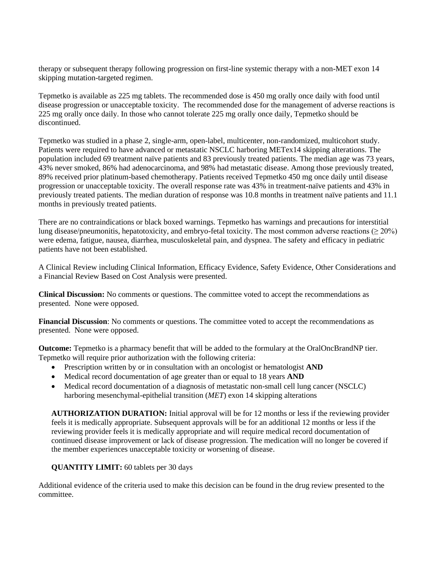therapy or subsequent therapy following progression on first-line systemic therapy with a non-MET exon 14 skipping mutation-targeted regimen.

Tepmetko is available as 225 mg tablets. The recommended dose is 450 mg orally once daily with food until disease progression or unacceptable toxicity. The recommended dose for the management of adverse reactions is 225 mg orally once daily. In those who cannot tolerate 225 mg orally once daily, Tepmetko should be discontinued.

Tepmetko was studied in a phase 2, single-arm, open-label, multicenter, non-randomized, multicohort study. Patients were required to have advanced or metastatic NSCLC harboring METex14 skipping alterations. The population included 69 treatment naïve patients and 83 previously treated patients. The median age was 73 years, 43% never smoked, 86% had adenocarcinoma, and 98% had metastatic disease. Among those previously treated, 89% received prior platinum-based chemotherapy. Patients received Tepmetko 450 mg once daily until disease progression or unacceptable toxicity. The overall response rate was 43% in treatment-naïve patients and 43% in previously treated patients. The median duration of response was 10.8 months in treatment naïve patients and 11.1 months in previously treated patients.

There are no contraindications or black boxed warnings. Tepmetko has warnings and precautions for interstitial lung disease/pneumonitis, hepatotoxicity, and embryo-fetal toxicity. The most common adverse reactions ( $\geq 20\%$ ) were edema, fatigue, nausea, diarrhea, musculoskeletal pain, and dyspnea. The safety and efficacy in pediatric patients have not been established.

A Clinical Review including Clinical Information, Efficacy Evidence, Safety Evidence, Other Considerations and a Financial Review Based on Cost Analysis were presented.

**Clinical Discussion:** No comments or questions. The committee voted to accept the recommendations as presented. None were opposed.

**Financial Discussion**: No comments or questions. The committee voted to accept the recommendations as presented. None were opposed.

**Outcome:** Tepmetko is a pharmacy benefit that will be added to the formulary at the OralOncBrandNP tier. Tepmetko will require prior authorization with the following criteria:

- Prescription written by or in consultation with an oncologist or hematologist **AND**
- Medical record documentation of age greater than or equal to 18 years **AND**
- Medical record documentation of a diagnosis of metastatic non-small cell lung cancer (NSCLC) harboring mesenchymal-epithelial transition (*MET*) exon 14 skipping alterations

**AUTHORIZATION DURATION:** Initial approval will be for 12 months or less if the reviewing provider feels it is medically appropriate. Subsequent approvals will be for an additional 12 months or less if the reviewing provider feels it is medically appropriate and will require medical record documentation of continued disease improvement or lack of disease progression. The medication will no longer be covered if the member experiences unacceptable toxicity or worsening of disease.

#### **QUANTITY LIMIT:** 60 tablets per 30 days

Additional evidence of the criteria used to make this decision can be found in the drug review presented to the committee.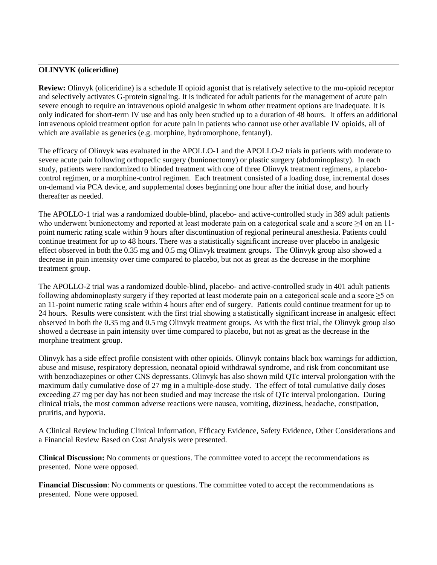#### **OLINVYK (oliceridine)**

**Review:** Olinvyk (oliceridine) is a schedule II opioid agonist that is relatively selective to the mu-opioid receptor and selectively activates G-protein signaling. It is indicated for adult patients for the management of acute pain severe enough to require an intravenous opioid analgesic in whom other treatment options are inadequate. It is only indicated for short-term IV use and has only been studied up to a duration of 48 hours. It offers an additional intravenous opioid treatment option for acute pain in patients who cannot use other available IV opioids, all of which are available as generics (e.g. morphine, hydromorphone, fentanyl).

The efficacy of Olinvyk was evaluated in the APOLLO-1 and the APOLLO-2 trials in patients with moderate to severe acute pain following orthopedic surgery (bunionectomy) or plastic surgery (abdominoplasty). In each study, patients were randomized to blinded treatment with one of three Olinvyk treatment regimens, a placebocontrol regimen, or a morphine-control regimen. Each treatment consisted of a loading dose, incremental doses on-demand via PCA device, and supplemental doses beginning one hour after the initial dose, and hourly thereafter as needed.

The APOLLO-1 trial was a randomized double-blind, placebo- and active-controlled study in 389 adult patients who underwent bunionectomy and reported at least moderate pain on a categorical scale and a score ≥4 on an 11 point numeric rating scale within 9 hours after discontinuation of regional perineural anesthesia. Patients could continue treatment for up to 48 hours. There was a statistically significant increase over placebo in analgesic effect observed in both the 0.35 mg and 0.5 mg Olinvyk treatment groups. The Olinvyk group also showed a decrease in pain intensity over time compared to placebo, but not as great as the decrease in the morphine treatment group.

The APOLLO-2 trial was a randomized double-blind, placebo- and active-controlled study in 401 adult patients following abdominoplasty surgery if they reported at least moderate pain on a categorical scale and a score  $\geq$ 5 on an 11-point numeric rating scale within 4 hours after end of surgery. Patients could continue treatment for up to 24 hours. Results were consistent with the first trial showing a statistically significant increase in analgesic effect observed in both the 0.35 mg and 0.5 mg Olinvyk treatment groups. As with the first trial, the Olinvyk group also showed a decrease in pain intensity over time compared to placebo, but not as great as the decrease in the morphine treatment group.

Olinvyk has a side effect profile consistent with other opioids. Olinvyk contains black box warnings for addiction, abuse and misuse, respiratory depression, neonatal opioid withdrawal syndrome, and risk from concomitant use with benzodiazepines or other CNS depressants. Olinvyk has also shown mild QTc interval prolongation with the maximum daily cumulative dose of 27 mg in a multiple-dose study. The effect of total cumulative daily doses exceeding 27 mg per day has not been studied and may increase the risk of QTc interval prolongation. During clinical trials, the most common adverse reactions were nausea, vomiting, dizziness, headache, constipation, pruritis, and hypoxia.

A Clinical Review including Clinical Information, Efficacy Evidence, Safety Evidence, Other Considerations and a Financial Review Based on Cost Analysis were presented.

**Clinical Discussion:** No comments or questions. The committee voted to accept the recommendations as presented. None were opposed.

**Financial Discussion**: No comments or questions. The committee voted to accept the recommendations as presented. None were opposed.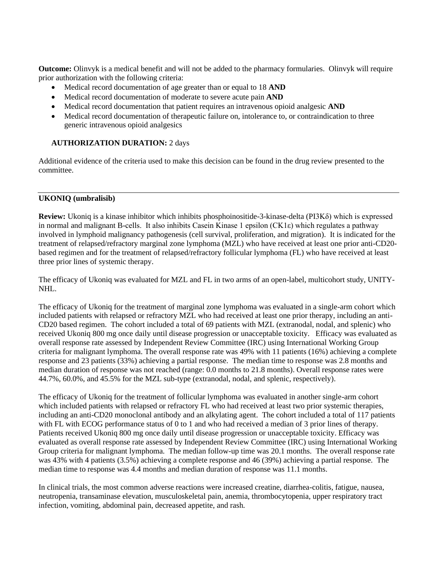**Outcome:** Olinvyk is a medical benefit and will not be added to the pharmacy formularies. Olinvyk will require prior authorization with the following criteria:

- Medical record documentation of age greater than or equal to 18 **AND**
- Medical record documentation of moderate to severe acute pain **AND**
- Medical record documentation that patient requires an intravenous opioid analgesic **AND**
- Medical record documentation of therapeutic failure on, intolerance to, or contraindication to three generic intravenous opioid analgesics

## **AUTHORIZATION DURATION:** 2 days

Additional evidence of the criteria used to make this decision can be found in the drug review presented to the committee.

## **UKONIQ (umbralisib)**

**Review:** Ukoniq is a kinase inhibitor which inhibits phosphoinositide-3-kinase-delta (PI3Kδ) which is expressed in normal and malignant B-cells. It also inhibits Casein Kinase 1 epsilon (CK1ε) which regulates a pathway involved in lymphoid malignancy pathogenesis (cell survival, proliferation, and migration). It is indicated for the treatment of relapsed/refractory marginal zone lymphoma (MZL) who have received at least one prior anti-CD20 based regimen and for the treatment of relapsed/refractory follicular lymphoma (FL) who have received at least three prior lines of systemic therapy.

The efficacy of Ukoniq was evaluated for MZL and FL in two arms of an open-label, multicohort study, UNITY-NHL.

The efficacy of Ukoniq for the treatment of marginal zone lymphoma was evaluated in a single-arm cohort which included patients with relapsed or refractory MZL who had received at least one prior therapy, including an anti-CD20 based regimen. The cohort included a total of 69 patients with MZL (extranodal, nodal, and splenic) who received Ukoniq 800 mg once daily until disease progression or unacceptable toxicity. Efficacy was evaluated as overall response rate assessed by Independent Review Committee (IRC) using International Working Group criteria for malignant lymphoma. The overall response rate was 49% with 11 patients (16%) achieving a complete response and 23 patients (33%) achieving a partial response. The median time to response was 2.8 months and median duration of response was not reached (range: 0.0 months to 21.8 months). Overall response rates were 44.7%, 60.0%, and 45.5% for the MZL sub-type (extranodal, nodal, and splenic, respectively).

The efficacy of Ukoniq for the treatment of follicular lymphoma was evaluated in another single-arm cohort which included patients with relapsed or refractory FL who had received at least two prior systemic therapies, including an anti-CD20 monoclonal antibody and an alkylating agent. The cohort included a total of 117 patients with FL with ECOG performance status of 0 to 1 and who had received a median of 3 prior lines of therapy. Patients received Ukoniq 800 mg once daily until disease progression or unacceptable toxicity. Efficacy was evaluated as overall response rate assessed by Independent Review Committee (IRC) using International Working Group criteria for malignant lymphoma. The median follow-up time was 20.1 months. The overall response rate was 43% with 4 patients (3.5%) achieving a complete response and 46 (39%) achieving a partial response. The median time to response was 4.4 months and median duration of response was 11.1 months.

In clinical trials, the most common adverse reactions were increased creatine, diarrhea-colitis, fatigue, nausea, neutropenia, transaminase elevation, musculoskeletal pain, anemia, thrombocytopenia, upper respiratory tract infection, vomiting, abdominal pain, decreased appetite, and rash.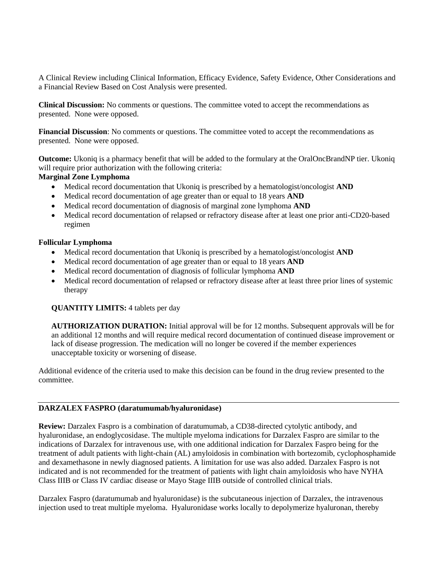A Clinical Review including Clinical Information, Efficacy Evidence, Safety Evidence, Other Considerations and a Financial Review Based on Cost Analysis were presented.

**Clinical Discussion:** No comments or questions. The committee voted to accept the recommendations as presented. None were opposed.

**Financial Discussion**: No comments or questions. The committee voted to accept the recommendations as presented. None were opposed.

**Outcome:** Ukoniq is a pharmacy benefit that will be added to the formulary at the OralOncBrandNP tier. Ukoniq will require prior authorization with the following criteria:

#### **Marginal Zone Lymphoma**

- Medical record documentation that Ukoniq is prescribed by a hematologist/oncologist **AND**
- Medical record documentation of age greater than or equal to 18 years **AND**
- Medical record documentation of diagnosis of marginal zone lymphoma **AND**
- Medical record documentation of relapsed or refractory disease after at least one prior anti-CD20-based regimen

#### **Follicular Lymphoma**

- Medical record documentation that Ukoniq is prescribed by a hematologist/oncologist **AND**
- Medical record documentation of age greater than or equal to 18 years **AND**
- Medical record documentation of diagnosis of follicular lymphoma **AND**
- Medical record documentation of relapsed or refractory disease after at least three prior lines of systemic therapy

#### **QUANTITY LIMITS:** 4 tablets per day

**AUTHORIZATION DURATION:** Initial approval will be for 12 months. Subsequent approvals will be for an additional 12 months and will require medical record documentation of continued disease improvement or lack of disease progression. The medication will no longer be covered if the member experiences unacceptable toxicity or worsening of disease.

Additional evidence of the criteria used to make this decision can be found in the drug review presented to the committee.

#### **DARZALEX FASPRO (daratumumab/hyaluronidase)**

**Review:** Darzalex Faspro is a combination of daratumumab, a CD38-directed cytolytic antibody, and hyaluronidase, an endoglycosidase. The multiple myeloma indications for Darzalex Faspro are similar to the indications of Darzalex for intravenous use, with one additional indication for Darzalex Faspro being for the treatment of adult patients with light-chain (AL) amyloidosis in combination with bortezomib, cyclophosphamide and dexamethasone in newly diagnosed patients. A limitation for use was also added. Darzalex Faspro is not indicated and is not recommended for the treatment of patients with light chain amyloidosis who have NYHA Class IIIB or Class IV cardiac disease or Mayo Stage IIIB outside of controlled clinical trials.

Darzalex Faspro (daratumumab and hyaluronidase) is the subcutaneous injection of Darzalex, the intravenous injection used to treat multiple myeloma. Hyaluronidase works locally to depolymerize hyaluronan, thereby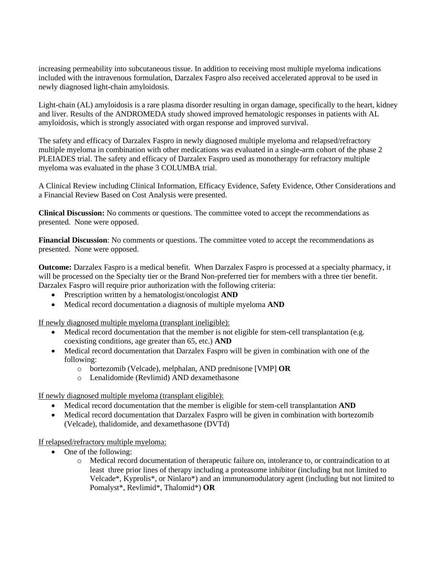increasing permeability into subcutaneous tissue. In addition to receiving most multiple myeloma indications included with the intravenous formulation, Darzalex Faspro also received accelerated approval to be used in newly diagnosed light-chain amyloidosis.

Light-chain (AL) amyloidosis is a rare plasma disorder resulting in organ damage, specifically to the heart, kidney and liver. Results of the ANDROMEDA study showed improved hematologic responses in patients with AL amyloidosis, which is strongly associated with organ response and improved survival.

The safety and efficacy of Darzalex Faspro in newly diagnosed multiple myeloma and relapsed/refractory multiple myeloma in combination with other medications was evaluated in a single-arm cohort of the phase 2 PLEIADES trial. The safety and efficacy of Darzalex Faspro used as monotherapy for refractory multiple myeloma was evaluated in the phase 3 COLUMBA trial.

A Clinical Review including Clinical Information, Efficacy Evidence, Safety Evidence, Other Considerations and a Financial Review Based on Cost Analysis were presented.

**Clinical Discussion:** No comments or questions. The committee voted to accept the recommendations as presented. None were opposed.

**Financial Discussion**: No comments or questions. The committee voted to accept the recommendations as presented. None were opposed.

**Outcome:** Darzalex Faspro is a medical benefit. When Darzalex Faspro is processed at a specialty pharmacy, it will be processed on the Specialty tier or the Brand Non-preferred tier for members with a three tier benefit. Darzalex Faspro will require prior authorization with the following criteria:

- Prescription written by a hematologist/oncologist **AND**
- Medical record documentation a diagnosis of multiple myeloma **AND**

If newly diagnosed multiple myeloma (transplant ineligible):

- Medical record documentation that the member is not eligible for stem-cell transplantation (e.g. coexisting conditions, age greater than 65, etc.) **AND**
- Medical record documentation that Darzalex Faspro will be given in combination with one of the following:
	- o bortezomib (Velcade), melphalan, AND prednisone [VMP] **OR**
	- o Lenalidomide (Revlimid) AND dexamethasone

If newly diagnosed multiple myeloma (transplant eligible):

- Medical record documentation that the member is eligible for stem-cell transplantation **AND**
- Medical record documentation that Darzalex Faspro will be given in combination with bortezomib (Velcade), thalidomide, and dexamethasone (DVTd)

If relapsed/refractory multiple myeloma:

- One of the following:
	- o Medical record documentation of therapeutic failure on, intolerance to, or contraindication to at least three prior lines of therapy including a proteasome inhibitor (including but not limited to Velcade\*, Kyprolis\*, or Ninlaro\*) and an immunomodulatory agent (including but not limited to Pomalyst\*, Revlimid\*, Thalomid\*) **OR**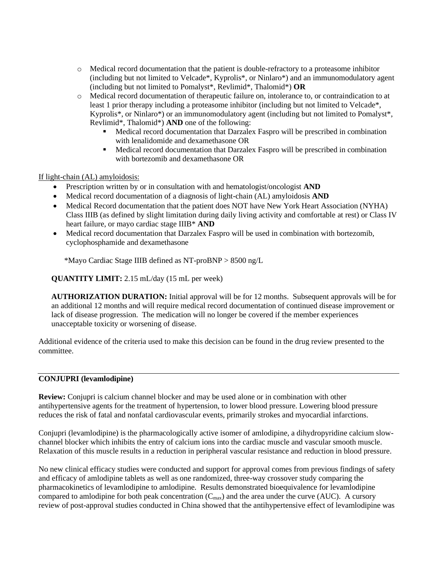- o Medical record documentation that the patient is double-refractory to a proteasome inhibitor (including but not limited to Velcade\*, Kyprolis\*, or Ninlaro\*) and an immunomodulatory agent (including but not limited to Pomalyst\*, Revlimid\*, Thalomid\*) **OR**
- o Medical record documentation of therapeutic failure on, intolerance to, or contraindication to at least 1 prior therapy including a proteasome inhibitor (including but not limited to Velcade\*, Kyprolis\*, or Ninlaro\*) or an immunomodulatory agent (including but not limited to Pomalyst\*, Revlimid\*, Thalomid\*) **AND** one of the following:
	- Medical record documentation that Darzalex Faspro will be prescribed in combination with lenalidomide and dexamethasone OR
	- Medical record documentation that Darzalex Faspro will be prescribed in combination with bortezomib and dexamethasone OR

### If light-chain (AL) amyloidosis:

- Prescription written by or in consultation with and hematologist/oncologist **AND**
- Medical record documentation of a diagnosis of light-chain (AL) amyloidosis **AND**
- Medical Record documentation that the patient does NOT have New York Heart Association (NYHA) Class IIIB (as defined by slight limitation during daily living activity and comfortable at rest) or Class IV heart failure, or mayo cardiac stage IIIB\* **AND**
- Medical record documentation that Darzalex Faspro will be used in combination with bortezomib, cyclophosphamide and dexamethasone

\*Mayo Cardiac Stage IIIB defined as NT-proBNP > 8500 ng/L

**QUANTITY LIMIT:** 2.15 mL/day (15 mL per week)

**AUTHORIZATION DURATION:** Initial approval will be for 12 months. Subsequent approvals will be for an additional 12 months and will require medical record documentation of continued disease improvement or lack of disease progression. The medication will no longer be covered if the member experiences unacceptable toxicity or worsening of disease.

Additional evidence of the criteria used to make this decision can be found in the drug review presented to the committee.

### **CONJUPRI (levamlodipine)**

**Review:** Conjupri is calcium channel blocker and may be used alone or in combination with other antihypertensive agents for the treatment of hypertension, to lower blood pressure. Lowering blood pressure reduces the risk of fatal and nonfatal cardiovascular events, primarily strokes and myocardial infarctions.

Conjupri (levamlodipine) is the pharmacologically active isomer of amlodipine, a dihydropyridine calcium slowchannel blocker which inhibits the entry of calcium ions into the cardiac muscle and vascular smooth muscle. Relaxation of this muscle results in a reduction in peripheral vascular resistance and reduction in blood pressure.

No new clinical efficacy studies were conducted and support for approval comes from previous findings of safety and efficacy of amlodipine tablets as well as one randomized, three-way crossover study comparing the pharmacokinetics of levamlodipine to amlodipine. Results demonstrated bioequivalence for levamlodipine compared to amlodipine for both peak concentration  $(C_{\text{max}})$  and the area under the curve (AUC). A cursory review of post-approval studies conducted in China showed that the antihypertensive effect of levamlodipine was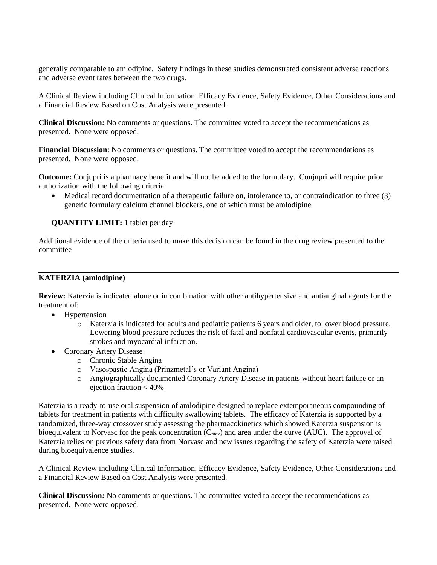generally comparable to amlodipine. Safety findings in these studies demonstrated consistent adverse reactions and adverse event rates between the two drugs.

A Clinical Review including Clinical Information, Efficacy Evidence, Safety Evidence, Other Considerations and a Financial Review Based on Cost Analysis were presented.

**Clinical Discussion:** No comments or questions. The committee voted to accept the recommendations as presented. None were opposed.

**Financial Discussion**: No comments or questions. The committee voted to accept the recommendations as presented. None were opposed.

**Outcome:** Conjupri is a pharmacy benefit and will not be added to the formulary. Conjupri will require prior authorization with the following criteria:

• Medical record documentation of a therapeutic failure on, intolerance to, or contraindication to three (3) generic formulary calcium channel blockers, one of which must be amlodipine

**QUANTITY LIMIT:** 1 tablet per day

Additional evidence of the criteria used to make this decision can be found in the drug review presented to the committee

#### **KATERZIA (amlodipine)**

**Review:** Katerzia is indicated alone or in combination with other antihypertensive and antianginal agents for the treatment of:

- Hypertension
	- o Katerzia is indicated for adults and pediatric patients 6 years and older, to lower blood pressure. Lowering blood pressure reduces the risk of fatal and nonfatal cardiovascular events, primarily strokes and myocardial infarction.
- Coronary Artery Disease
	- o Chronic Stable Angina
	- o Vasospastic Angina (Prinzmetal's or Variant Angina)
	- o Angiographically documented Coronary Artery Disease in patients without heart failure or an ejection fraction < 40%

Katerzia is a ready-to-use oral suspension of amlodipine designed to replace extemporaneous compounding of tablets for treatment in patients with difficulty swallowing tablets. The efficacy of Katerzia is supported by a randomized, three-way crossover study assessing the pharmacokinetics which showed Katerzia suspension is bioequivalent to Norvasc for the peak concentration  $(C_{\text{max}})$  and area under the curve (AUC). The approval of Katerzia relies on previous safety data from Norvasc and new issues regarding the safety of Katerzia were raised during bioequivalence studies.

A Clinical Review including Clinical Information, Efficacy Evidence, Safety Evidence, Other Considerations and a Financial Review Based on Cost Analysis were presented.

**Clinical Discussion:** No comments or questions. The committee voted to accept the recommendations as presented. None were opposed.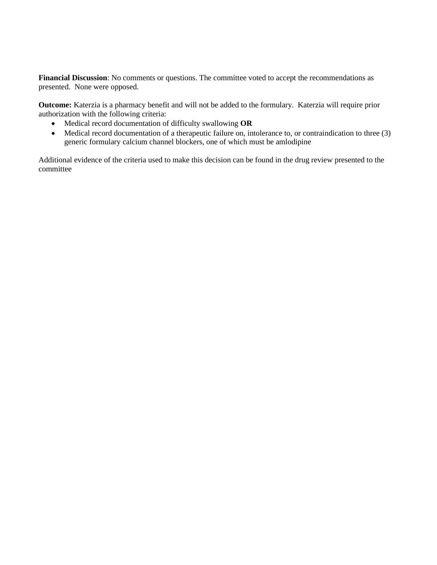**Financial Discussion**: No comments or questions. The committee voted to accept the recommendations as presented. None were opposed.

**Outcome:** Katerzia is a pharmacy benefit and will not be added to the formulary. Katerzia will require prior authorization with the following criteria:

- Medical record documentation of difficulty swallowing **OR**
- Medical record documentation of a therapeutic failure on, intolerance to, or contraindication to three (3) generic formulary calcium channel blockers, one of which must be amlodipine

Additional evidence of the criteria used to make this decision can be found in the drug review presented to the committee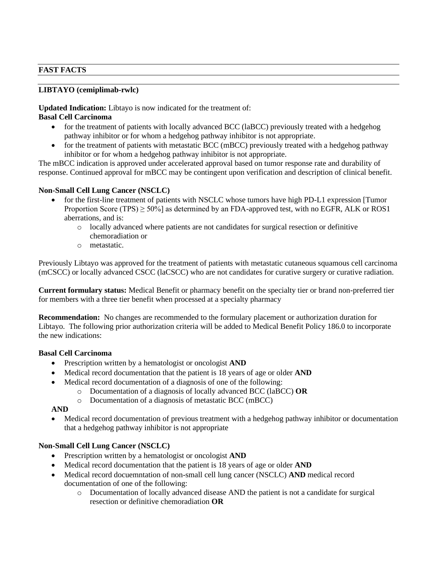### **FAST FACTS**

### **LIBTAYO (cemiplimab-rwlc)**

**Updated Indication:** Libtayo is now indicated for the treatment of:

## **Basal Cell Carcinoma**

- for the treatment of patients with locally advanced BCC (laBCC) previously treated with a hedgehog pathway inhibitor or for whom a hedgehog pathway inhibitor is not appropriate.
- for the treatment of patients with metastatic BCC (mBCC) previously treated with a hedgehog pathway inhibitor or for whom a hedgehog pathway inhibitor is not appropriate.

The mBCC indication is approved under accelerated approval based on tumor response rate and durability of response. Continued approval for mBCC may be contingent upon verification and description of clinical benefit.

### **Non-Small Cell Lung Cancer (NSCLC)**

- for the first-line treatment of patients with NSCLC whose tumors have high PD-L1 expression [Tumor Proportion Score (TPS) > 50%] as determined by an FDA-approved test, with no EGFR, ALK or ROS1 aberrations, and is:
	- o locally advanced where patients are not candidates for surgical resection or definitive chemoradiation or
	- o metastatic.

Previously Libtayo was approved for the treatment of patients with metastatic cutaneous squamous cell carcinoma (mCSCC) or locally advanced CSCC (laCSCC) who are not candidates for curative surgery or curative radiation.

**Current formulary status:** Medical Benefit or pharmacy benefit on the specialty tier or brand non-preferred tier for members with a three tier benefit when processed at a specialty pharmacy

**Recommendation:** No changes are recommended to the formulary placement or authorization duration for Libtayo. The following prior authorization criteria will be added to Medical Benefit Policy 186.0 to incorporate the new indications:

### **Basal Cell Carcinoma**

- Prescription written by a hematologist or oncologist **AND**
- Medical record documentation that the patient is 18 years of age or older **AND**
- Medical record documentation of a diagnosis of one of the following:
	- o Documentation of a diagnosis of locally advanced BCC (laBCC) **OR**
	- o Documentation of a diagnosis of metastatic BCC (mBCC)

#### **AND**

• Medical record documentation of previous treatment with a hedgehog pathway inhibitor or documentation that a hedgehog pathway inhibitor is not appropriate

## **Non-Small Cell Lung Cancer (NSCLC)**

- Prescription written by a hematologist or oncologist **AND**
- Medical record documentation that the patient is 18 years of age or older **AND**
- Medical record docuemntation of non-small cell lung cancer (NSCLC) **AND** medical record documentation of one of the following:
	- o Documentation of locally advanced disease AND the patient is not a candidate for surgical resection or definitive chemoradiation **OR**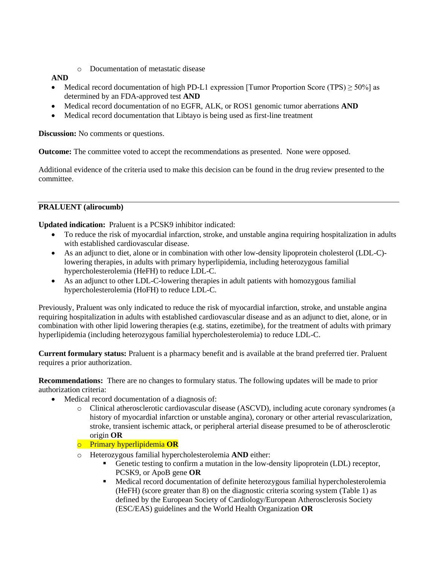o Documentation of metastatic disease

## **AND**

- Medical record documentation of high PD-L1 expression [Tumor Proportion Score (TPS)  $\geq$  50%] as determined by an FDA-approved test **AND**
- Medical record documentation of no EGFR, ALK, or ROS1 genomic tumor aberrations **AND**
- Medical record documentation that Libtayo is being used as first-line treatment

**Discussion:** No comments or questions.

**Outcome:** The committee voted to accept the recommendations as presented. None were opposed.

Additional evidence of the criteria used to make this decision can be found in the drug review presented to the committee.

## **PRALUENT (alirocumb)**

**Updated indication:** Praluent is a PCSK9 inhibitor indicated:

- To reduce the risk of myocardial infarction, stroke, and unstable angina requiring hospitalization in adults with established cardiovascular disease.
- As an adjunct to diet, alone or in combination with other low-density lipoprotein cholesterol (LDL-C)lowering therapies, in adults with primary hyperlipidemia, including heterozygous familial hypercholesterolemia (HeFH) to reduce LDL-C.
- As an adjunct to other LDL-C-lowering therapies in adult patients with homozygous familial hypercholesterolemia (HoFH) to reduce LDL-C.

Previously, Praluent was only indicated to reduce the risk of myocardial infarction, stroke, and unstable angina requiring hospitalization in adults with established cardiovascular disease and as an adjunct to diet, alone, or in combination with other lipid lowering therapies (e.g. statins, ezetimibe), for the treatment of adults with primary hyperlipidemia (including heterozygous familial hypercholesterolemia) to reduce LDL-C.

**Current formulary status:** Praluent is a pharmacy benefit and is available at the brand preferred tier. Praluent requires a prior authorization.

**Recommendations:** There are no changes to formulary status. The following updates will be made to prior authorization criteria:

- Medical record documentation of a diagnosis of:
	- o Clinical atherosclerotic cardiovascular disease (ASCVD), including acute coronary syndromes (a history of myocardial infarction or unstable angina), coronary or other arterial revascularization, stroke, transient ischemic attack, or peripheral arterial disease presumed to be of atherosclerotic origin **OR**
	- o Primary hyperlipidemia **OR**
	- o Heterozygous familial hypercholesterolemia **AND** either:
		- Genetic testing to confirm a mutation in the low-density lipoprotein (LDL) receptor, PCSK9, or ApoB gene **OR**
		- **•** Medical record documentation of definite heterozygous familial hypercholesterolemia (HeFH) (score greater than 8) on the diagnostic criteria scoring system (Table 1) as defined by the European Society of Cardiology/European Atherosclerosis Society (ESC/EAS) guidelines and the World Health Organization **OR**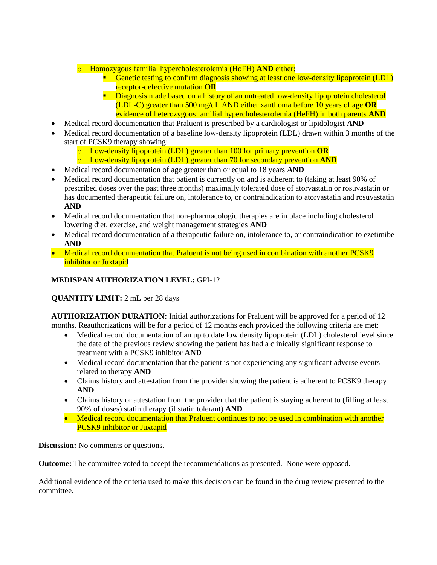## o Homozygous familial hypercholesterolemia (HoFH) **AND** either:

- **E** Genetic testing to confirm diagnosis showing at least one low-density lipoprotein (LDL) receptor-defective mutation **OR**
- **E** Diagnosis made based on a history of an untreated low-density lipoprotein cholesterol (LDL-C) greater than 500 mg/dL AND either xanthoma before 10 years of age **OR**  evidence of heterozygous familial hypercholesterolemia (HeFH) in both parents **AND**
- Medical record documentation that Praluent is prescribed by a cardiologist or lipidologist **AND**
- Medical record documentation of a baseline low-density lipoprotein (LDL) drawn within 3 months of the start of PCSK9 therapy showing:
	- o Low-density lipoprotein (LDL) greater than 100 for primary prevention **OR**
	- o Low-density lipoprotein (LDL) greater than 70 for secondary prevention **AND**
- Medical record documentation of age greater than or equal to 18 years **AND**
- Medical record documentation that patient is currently on and is adherent to (taking at least 90% of prescribed doses over the past three months) maximally tolerated dose of atorvastatin or rosuvastatin or has documented therapeutic failure on, intolerance to, or contraindication to atorvastatin and rosuvastatin **AND**
- Medical record documentation that non-pharmacologic therapies are in place including cholesterol lowering diet, exercise, and weight management strategies **AND**
- Medical record documentation of a therapeutic failure on, intolerance to, or contraindication to ezetimibe **AND**
- Medical record documentation that Praluent is not being used in combination with another PCSK9 inhibitor or Juxtapid

# **MEDISPAN AUTHORIZATION LEVEL:** GPI-12

**QUANTITY LIMIT:** 2 mL per 28 days

**AUTHORIZATION DURATION:** Initial authorizations for Praluent will be approved for a period of 12 months. Reauthorizations will be for a period of 12 months each provided the following criteria are met:

- Medical record documentation of an up to date low density lipoprotein (LDL) cholesterol level since the date of the previous review showing the patient has had a clinically significant response to treatment with a PCSK9 inhibitor **AND**
- Medical record documentation that the patient is not experiencing any significant adverse events related to therapy **AND**
- Claims history and attestation from the provider showing the patient is adherent to PCSK9 therapy **AND**
- Claims history or attestation from the provider that the patient is staying adherent to (filling at least 90% of doses) statin therapy (if statin tolerant) **AND**
- Medical record documentation that Praluent continues to not be used in combination with another PCSK9 inhibitor or Juxtapid

**Discussion:** No comments or questions.

**Outcome:** The committee voted to accept the recommendations as presented. None were opposed.

Additional evidence of the criteria used to make this decision can be found in the drug review presented to the committee.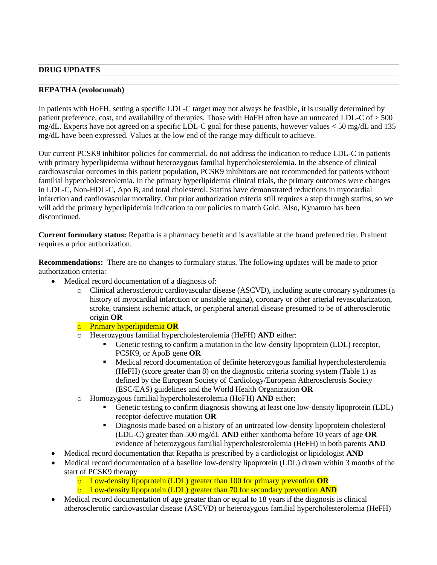#### **DRUG UPDATES**

#### **REPATHA (evolocumab)**

In patients with HoFH, setting a specific LDL-C target may not always be feasible, it is usually determined by patient preference, cost, and availability of therapies. Those with HoFH often have an untreated LDL-C of > 500 mg/dL. Experts have not agreed on a specific LDL-C goal for these patients, however values < 50 mg/dL and 135 mg/dL have been expressed. Values at the low end of the range may difficult to achieve.

Our current PCSK9 inhibitor policies for commercial, do not address the indication to reduce LDL-C in patients with primary hyperlipidemia without heterozygous familial hypercholesterolemia. In the absence of clinical cardiovascular outcomes in this patient population, PCSK9 inhibitors are not recommended for patients without familial hypercholesterolemia. In the primary hyperlipidemia clinical trials, the primary outcomes were changes in LDL-C, Non-HDL-C, Apo B, and total cholesterol. Statins have demonstrated reductions in myocardial infarction and cardiovascular mortality. Our prior authorization criteria still requires a step through statins, so we will add the primary hyperlipidemia indication to our policies to match Gold. Also, Kynamro has been discontinued.

**Current formulary status:** Repatha is a pharmacy benefit and is available at the brand preferred tier. Praluent requires a prior authorization.

**Recommendations:** There are no changes to formulary status. The following updates will be made to prior authorization criteria:

- Medical record documentation of a diagnosis of:
	- o Clinical atherosclerotic cardiovascular disease (ASCVD), including acute coronary syndromes (a history of myocardial infarction or unstable angina), coronary or other arterial revascularization, stroke, transient ischemic attack, or peripheral arterial disease presumed to be of atherosclerotic origin **OR**
	- o Primary hyperlipidemia **OR**
	- o Heterozygous familial hypercholesterolemia (HeFH) **AND** either:
		- Genetic testing to confirm a mutation in the low-density lipoprotein (LDL) receptor, PCSK9, or ApoB gene **OR**
		- Medical record documentation of definite heterozygous familial hypercholesterolemia (HeFH) (score greater than 8) on the diagnostic criteria scoring system (Table 1) as defined by the European Society of Cardiology/European Atherosclerosis Society (ESC/EAS) guidelines and the World Health Organization **OR**
	- o Homozygous familial hypercholesterolemia (HoFH) **AND** either:
		- Genetic testing to confirm diagnosis showing at least one low-density lipoprotein (LDL) receptor-defective mutation **OR**
		- Diagnosis made based on a history of an untreated low-density lipoprotein cholesterol (LDL-C) greater than 500 mg/dL **AND** either xanthoma before 10 years of age **OR**  evidence of heterozygous familial hypercholesterolemia (HeFH) in both parents **AND**
- Medical record documentation that Repatha is prescribed by a cardiologist or lipidologist **AND**
- Medical record documentation of a baseline low-density lipoprotein (LDL) drawn within 3 months of the start of PCSK9 therapy
	- o Low-density lipoprotein (LDL) greater than 100 for primary prevention **OR**
	- o Low-density lipoprotein (LDL) greater than 70 for secondary prevention **AND**
- Medical record documentation of age greater than or equal to 18 years if the diagnosis is clinical atherosclerotic cardiovascular disease (ASCVD) or heterozygous familial hypercholesterolemia (HeFH)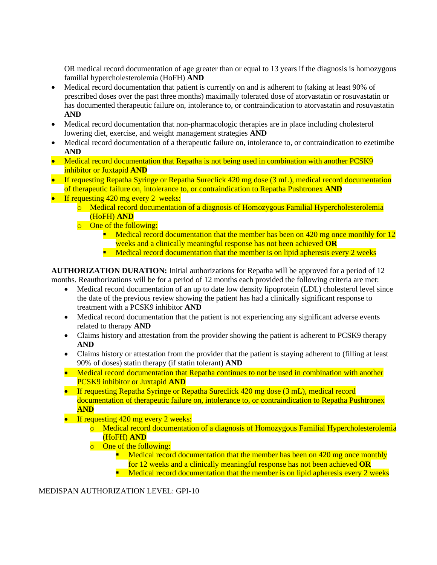OR medical record documentation of age greater than or equal to 13 years if the diagnosis is homozygous familial hypercholesterolemia (HoFH) **AND**

- Medical record documentation that patient is currently on and is adherent to (taking at least 90% of prescribed doses over the past three months) maximally tolerated dose of atorvastatin or rosuvastatin or has documented therapeutic failure on, intolerance to, or contraindication to atorvastatin and rosuvastatin **AND**
- Medical record documentation that non-pharmacologic therapies are in place including cholesterol lowering diet, exercise, and weight management strategies **AND**
- Medical record documentation of a therapeutic failure on, intolerance to, or contraindication to ezetimibe **AND**
- Medical record documentation that Repatha is not being used in combination with another PCSK9 inhibitor or Juxtapid **AND**
- If requesting Repatha Syringe or Repatha Sureclick 420 mg dose (3 mL), medical record documentation of therapeutic failure on, intolerance to, or contraindication to Repatha Pushtronex **AND**
- If requesting 420 mg every 2 weeks:
	- $\circ$  Medical record documentation of a diagnosis of Homozygous Familial Hypercholesterolemia (HoFH) **AND**
	- o One of the following:
		- **Medical record documentation that the member has been on 420 mg once monthly for 12** weeks and a clinically meaningful response has not been achieved **OR**
		- **EXECTE 1** Medical record documentation that the member is on lipid apheresis every 2 weeks

**AUTHORIZATION DURATION:** Initial authorizations for Repatha will be approved for a period of 12 months. Reauthorizations will be for a period of 12 months each provided the following criteria are met:

- Medical record documentation of an up to date low density lipoprotein (LDL) cholesterol level since the date of the previous review showing the patient has had a clinically significant response to treatment with a PCSK9 inhibitor **AND**
- Medical record documentation that the patient is not experiencing any significant adverse events related to therapy **AND**
- Claims history and attestation from the provider showing the patient is adherent to PCSK9 therapy **AND**
- Claims history or attestation from the provider that the patient is staying adherent to (filling at least 90% of doses) statin therapy (if statin tolerant) **AND**
- Medical record documentation that Repatha continues to not be used in combination with another PCSK9 inhibitor or Juxtapid **AND**
- If requesting Repatha Syringe or Repatha Sureclick 420 mg dose (3 mL), medical record documentation of therapeutic failure on, intolerance to, or contraindication to Repatha Pushtronex **AND**
- If requesting 420 mg every 2 weeks:
	- o Medical record documentation of a diagnosis of Homozygous Familial Hypercholesterolemia (HoFH) **AND**
	- o One of the following:
		- $\blacksquare$  Medical record documentation that the member has been on 420 mg once monthly for 12 weeks and a clinically meaningful response has not been achieved **OR**
		- **EXECUTE:** Medical record documentation that the member is on lipid apheresis every 2 weeks

MEDISPAN AUTHORIZATION LEVEL: GPI-10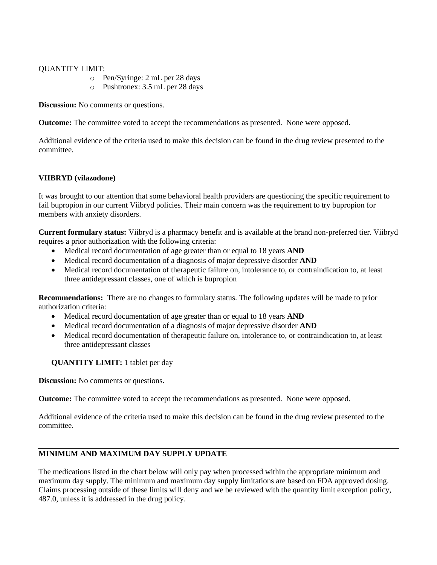### QUANTITY LIMIT:

- o Pen/Syringe: 2 mL per 28 days
- o Pushtronex: 3.5 mL per 28 days

**Discussion:** No comments or questions.

**Outcome:** The committee voted to accept the recommendations as presented. None were opposed.

Additional evidence of the criteria used to make this decision can be found in the drug review presented to the committee.

### **VIIBRYD (vilazodone)**

It was brought to our attention that some behavioral health providers are questioning the specific requirement to fail bupropion in our current Viibryd policies. Their main concern was the requirement to try bupropion for members with anxiety disorders.

**Current formulary status:** Viibryd is a pharmacy benefit and is available at the brand non-preferred tier. Viibryd requires a prior authorization with the following criteria:

- Medical record documentation of age greater than or equal to 18 years **AND**
- Medical record documentation of a diagnosis of major depressive disorder **AND**
- Medical record documentation of therapeutic failure on, intolerance to, or contraindication to, at least three antidepressant classes, one of which is bupropion

**Recommendations:** There are no changes to formulary status. The following updates will be made to prior authorization criteria:

- Medical record documentation of age greater than or equal to 18 years **AND**
- Medical record documentation of a diagnosis of major depressive disorder **AND**
- Medical record documentation of therapeutic failure on, intolerance to, or contraindication to, at least three antidepressant classes

#### **QUANTITY LIMIT:** 1 tablet per day

**Discussion:** No comments or questions.

**Outcome:** The committee voted to accept the recommendations as presented. None were opposed.

Additional evidence of the criteria used to make this decision can be found in the drug review presented to the committee.

## **MINIMUM AND MAXIMUM DAY SUPPLY UPDATE**

The medications listed in the chart below will only pay when processed within the appropriate minimum and maximum day supply. The minimum and maximum day supply limitations are based on FDA approved dosing. Claims processing outside of these limits will deny and we be reviewed with the quantity limit exception policy, 487.0, unless it is addressed in the drug policy.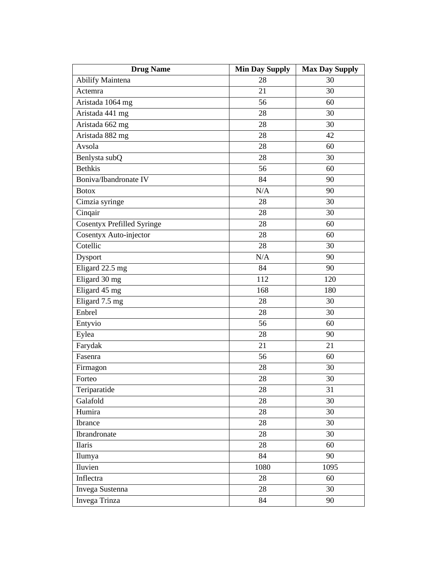| <b>Drug Name</b>                  | <b>Min Day Supply</b> | <b>Max Day Supply</b> |
|-----------------------------------|-----------------------|-----------------------|
| <b>Abilify Maintena</b>           | 28                    | 30                    |
| Actemra                           | 21                    | $\overline{30}$       |
| Aristada 1064 mg                  | 56                    | 60                    |
| Aristada 441 mg                   | 28                    | 30                    |
| Aristada 662 mg                   | 28                    | 30                    |
| Aristada 882 mg                   | 28                    | 42                    |
| Avsola                            | 28                    | 60                    |
| Benlysta subQ                     | 28                    | 30                    |
| <b>Bethkis</b>                    | 56                    | 60                    |
| Boniva/Ibandronate IV             | 84                    | 90                    |
| <b>Botox</b>                      | N/A                   | 90                    |
| Cimzia syringe                    | 28                    | 30                    |
| Cinqair                           | 28                    | 30                    |
| <b>Cosentyx Prefilled Syringe</b> | 28                    | 60                    |
| Cosentyx Auto-injector            | 28                    | 60                    |
| Cotellic                          | 28                    | 30                    |
| Dysport                           | N/A                   | 90                    |
| Eligard 22.5 mg                   | 84                    | 90                    |
| Eligard 30 mg                     | 112                   | 120                   |
| Eligard 45 mg                     | 168                   | 180                   |
| Eligard 7.5 mg                    | 28                    | 30                    |
| Enbrel                            | 28                    | 30                    |
| Entyvio                           | 56                    | 60                    |
| Eylea                             | 28                    | 90                    |
| Farydak                           | 21                    | 21                    |
| Fasenra                           | 56                    | 60                    |
| Firmagon                          | 28                    | 30                    |
| Forteo                            | 28                    | 30                    |
| Teriparatide                      | 28                    | 31                    |
| Galafold                          | 28                    | 30                    |
| Humira                            | 28                    | 30                    |
| Ibrance                           | 28                    | 30                    |
| Ibrandronate                      | 28                    | 30                    |
| Ilaris                            | 28                    | 60                    |
| Ilumya                            | 84                    | 90                    |
| Iluvien                           | 1080                  | 1095                  |
| Inflectra                         | 28                    | 60                    |
| Invega Sustenna                   | 28                    | 30                    |
| Invega Trinza                     | 84                    | 90                    |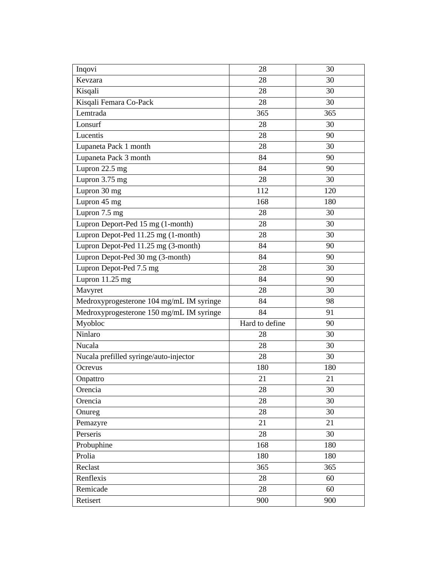| Inqovi                                   | 28             | 30  |
|------------------------------------------|----------------|-----|
| Kevzara                                  | 28             | 30  |
| Kisqali                                  | 28             | 30  |
| Kisqali Femara Co-Pack                   | 28             | 30  |
| Lemtrada                                 | 365            | 365 |
| Lonsurf                                  | 28             | 30  |
| Lucentis                                 | 28             | 90  |
| Lupaneta Pack 1 month                    | 28             | 30  |
| Lupaneta Pack 3 month                    | 84             | 90  |
| Lupron 22.5 mg                           | 84             | 90  |
| Lupron 3.75 mg                           | 28             | 30  |
| Lupron 30 mg                             | 112            | 120 |
| Lupron 45 mg                             | 168            | 180 |
| Lupron 7.5 mg                            | 28             | 30  |
| Lupron Deport-Ped 15 mg (1-month)        | 28             | 30  |
| Lupron Depot-Ped 11.25 mg (1-month)      | 28             | 30  |
| Lupron Depot-Ped 11.25 mg (3-month)      | 84             | 90  |
| Lupron Depot-Ped 30 mg (3-month)         | 84             | 90  |
| Lupron Depot-Ped 7.5 mg                  | 28             | 30  |
| Lupron 11.25 mg                          | 84             | 90  |
| Mavyret                                  | 28             | 30  |
| Medroxyprogesterone 104 mg/mL IM syringe | 84             | 98  |
| Medroxyprogesterone 150 mg/mL IM syringe | 84             | 91  |
| Myobloc                                  | Hard to define | 90  |
| Ninlaro                                  | 28             | 30  |
| Nucala                                   | 28             | 30  |
| Nucala prefilled syringe/auto-injector   | 28             | 30  |
| Ocrevus                                  | 180            | 180 |
| Onpattro                                 | 21             | 21  |
| Orencia                                  | 28             | 30  |
| Orencia                                  | 28             | 30  |
| Onureg                                   | 28             | 30  |
| Pemazyre                                 | 21             | 21  |
| Perseris                                 | 28             | 30  |
| Probuphine                               | 168            | 180 |
| Prolia                                   | 180            | 180 |
| Reclast                                  | 365            | 365 |
| Renflexis                                | 28             | 60  |
| Remicade                                 | 28             | 60  |
| Retisert                                 | 900            | 900 |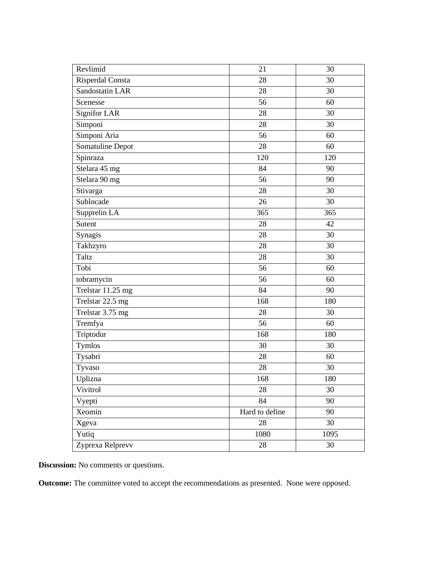| Revlimid          | 21             | 30   |
|-------------------|----------------|------|
| Risperdal Consta  | 28             | 30   |
| Sandostatin LAR   | 28             | 30   |
| Scenesse          | 56             | 60   |
| Signifor LAR      | 28             | 30   |
| Simponi           | 28             | 30   |
| Simponi Aria      | 56             | 60   |
| Somatuline Depot  | 28             | 60   |
| Spinraza          | 120            | 120  |
| Stelara 45 mg     | 84             | 90   |
| Stelara 90 mg     | 56             | 90   |
| Stivarga          | 28             | 30   |
| Sublocade         | 26             | 30   |
| Supprelin LA      | 365            | 365  |
| Sutent            | 28             | 42   |
| Synagis           | 28             | 30   |
| Takhzyro          | 28             | 30   |
| Taltz             | 28             | 30   |
| Tobi              | 56             | 60   |
| tobramycin        | 56             | 60   |
| Trelstar 11.25 mg | 84             | 90   |
| Trelstar 22.5 mg  | 168            | 180  |
| Trelstar 3.75 mg  | 28             | 30   |
| Tremfya           | 56             | 60   |
| Triptodur         | 168            | 180  |
| <b>Tymlos</b>     | 30             | 30   |
| Tysabri           | 28             | 60   |
| Tyvaso            | 28             | 30   |
| Uplizna           | 168            | 180  |
| Vivitrol          | 28             | 30   |
| Vyepti            | 84             | 90   |
| Xeomin            | Hard to define | 90   |
| Xgeva             | 28             | 30   |
| Yutiq             | 1080           | 1095 |
| Zyprexa Relprevv  | 28             | 30   |

**Discussion:** No comments or questions.

**Outcome:** The committee voted to accept the recommendations as presented. None were opposed.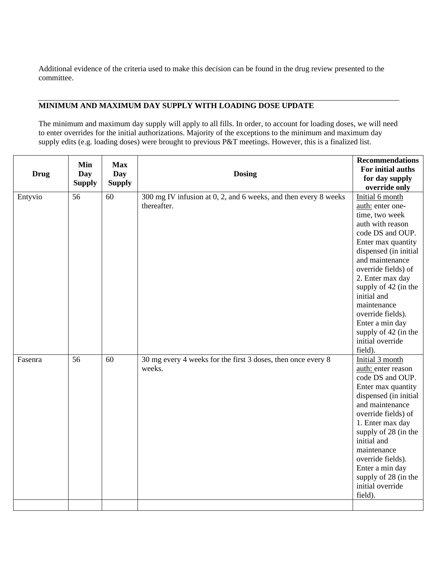Additional evidence of the criteria used to make this decision can be found in the drug review presented to the committee.

## **MINIMUM AND MAXIMUM DAY SUPPLY WITH LOADING DOSE UPDATE**

The minimum and maximum day supply will apply to all fills. In order, to account for loading doses, we will need to enter overrides for the initial authorizations. Majority of the exceptions to the minimum and maximum day supply edits (e.g. loading doses) were brought to previous P&T meetings. However, this is a finalized list.

|             | Min           | <b>Max</b>    |                                                                 | <b>Recommendations</b>           |
|-------------|---------------|---------------|-----------------------------------------------------------------|----------------------------------|
| <b>Drug</b> | <b>Day</b>    | Day           | <b>Dosing</b>                                                   | For initial auths                |
|             | <b>Supply</b> | <b>Supply</b> |                                                                 | for day supply                   |
|             | 56            | 60            | 300 mg IV infusion at 0, 2, and 6 weeks, and then every 8 weeks | override only<br>Initial 6 month |
| Entyvio     |               |               | thereafter.                                                     |                                  |
|             |               |               |                                                                 | auth: enter one-                 |
|             |               |               |                                                                 | time, two week                   |
|             |               |               |                                                                 | auth with reason                 |
|             |               |               |                                                                 | code DS and OUP.                 |
|             |               |               |                                                                 | Enter max quantity               |
|             |               |               |                                                                 | dispensed (in initial            |
|             |               |               |                                                                 | and maintenance                  |
|             |               |               |                                                                 | override fields) of              |
|             |               |               |                                                                 | 2. Enter max day                 |
|             |               |               |                                                                 | supply of 42 (in the             |
|             |               |               |                                                                 | initial and                      |
|             |               |               |                                                                 | maintenance                      |
|             |               |               |                                                                 | override fields).                |
|             |               |               |                                                                 | Enter a min day                  |
|             |               |               |                                                                 | supply of 42 (in the             |
|             |               |               |                                                                 | initial override                 |
|             |               |               |                                                                 | field).                          |
| Fasenra     | 56            | 60            | 30 mg every 4 weeks for the first 3 doses, then once every 8    | Initial 3 month                  |
|             |               |               | weeks.                                                          | auth: enter reason               |
|             |               |               |                                                                 | code DS and OUP.                 |
|             |               |               |                                                                 | Enter max quantity               |
|             |               |               |                                                                 | dispensed (in initial            |
|             |               |               |                                                                 | and maintenance                  |
|             |               |               |                                                                 | override fields) of              |
|             |               |               |                                                                 | 1. Enter max day                 |
|             |               |               |                                                                 | supply of 28 (in the             |
|             |               |               |                                                                 | initial and                      |
|             |               |               |                                                                 | maintenance                      |
|             |               |               |                                                                 | override fields).                |
|             |               |               |                                                                 | Enter a min day                  |
|             |               |               |                                                                 | supply of 28 (in the             |
|             |               |               |                                                                 | initial override                 |
|             |               |               |                                                                 | field).                          |
|             |               |               |                                                                 |                                  |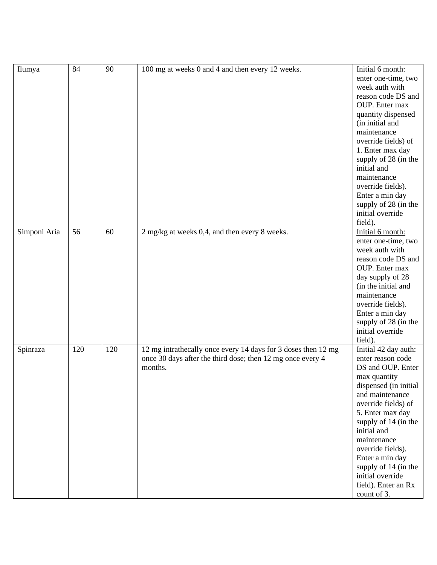| Ilumya       | 84  | 90  | 100 mg at weeks 0 and 4 and then every 12 weeks.                                                                                       | Initial 6 month:<br>enter one-time, two<br>week auth with<br>reason code DS and<br>OUP. Enter max<br>quantity dispensed<br>(in initial and<br>maintenance<br>override fields) of<br>1. Enter max day<br>supply of 28 (in the<br>initial and<br>maintenance<br>override fields).<br>Enter a min day<br>supply of 28 (in the<br>initial override        |
|--------------|-----|-----|----------------------------------------------------------------------------------------------------------------------------------------|-------------------------------------------------------------------------------------------------------------------------------------------------------------------------------------------------------------------------------------------------------------------------------------------------------------------------------------------------------|
| Simponi Aria | 56  | 60  | 2 mg/kg at weeks 0,4, and then every 8 weeks.                                                                                          | field).<br>Initial 6 month:<br>enter one-time, two<br>week auth with<br>reason code DS and<br>OUP. Enter max<br>day supply of 28<br>(in the initial and<br>maintenance<br>override fields).<br>Enter a min day<br>supply of 28 (in the<br>initial override<br>field).                                                                                 |
| Spinraza     | 120 | 120 | 12 mg intrathecally once every 14 days for 3 doses then 12 mg<br>once 30 days after the third dose; then 12 mg once every 4<br>months. | Initial 42 day auth:<br>enter reason code<br>DS and OUP. Enter<br>max quantity<br>dispensed (in initial<br>and maintenance<br>override fields) of<br>5. Enter max day<br>supply of 14 (in the<br>initial and<br>maintenance<br>override fields).<br>Enter a min day<br>supply of 14 (in the<br>initial override<br>field). Enter an Rx<br>count of 3. |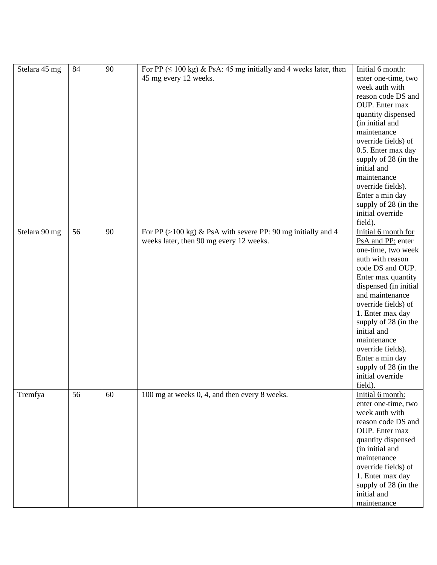| Stelara 45 mg | 84 | 90 | For PP ( $\leq 100$ kg) & PsA: 45 mg initially and 4 weeks later, then<br>45 mg every 12 weeks.                   | Initial 6 month:<br>enter one-time, two<br>week auth with<br>reason code DS and<br>OUP. Enter max<br>quantity dispensed<br>(in initial and<br>maintenance<br>override fields) of<br>0.5. Enter max day<br>supply of 28 (in the<br>initial and<br>maintenance<br>override fields).<br>Enter a min day<br>supply of 28 (in the<br>initial override<br>field).              |
|---------------|----|----|-------------------------------------------------------------------------------------------------------------------|--------------------------------------------------------------------------------------------------------------------------------------------------------------------------------------------------------------------------------------------------------------------------------------------------------------------------------------------------------------------------|
| Stelara 90 mg | 56 | 90 | For PP $(>100 \text{ kg})$ & PsA with severe PP: 90 mg initially and 4<br>weeks later, then 90 mg every 12 weeks. | Initial 6 month for<br>PsA and PP: enter<br>one-time, two week<br>auth with reason<br>code DS and OUP.<br>Enter max quantity<br>dispensed (in initial<br>and maintenance<br>override fields) of<br>1. Enter max day<br>supply of 28 (in the<br>initial and<br>maintenance<br>override fields).<br>Enter a min day<br>supply of 28 (in the<br>initial override<br>field). |
| Tremfya       | 56 | 60 | 100 mg at weeks 0, 4, and then every 8 weeks.                                                                     | Initial 6 month:<br>enter one-time, two<br>week auth with<br>reason code DS and<br>OUP. Enter max<br>quantity dispensed<br>(in initial and<br>maintenance<br>override fields) of<br>1. Enter max day<br>supply of 28 (in the<br>initial and<br>maintenance                                                                                                               |